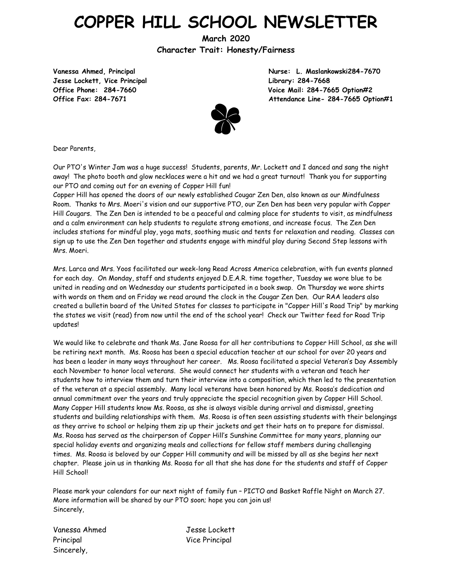# **COPPER HILL SCHOOL NEWSLETTER**

**March 2020 Character Trait: Honesty/Fairness**

**Jesse Lockett, Vice Principal Library: 284-7668**

**Vanessa Ahmed, Principal Nurse: L. Maslankowski284-7670 Office Phone: 284-7660 Voice Mail: 284-7665 Option#2 Office Fax: 284-7671 Attendance Line- 284-7665 Option#1**



Dear Parents,

Our PTO's Winter Jam was a huge success! Students, parents, Mr. Lockett and I danced and sang the night away! The photo booth and glow necklaces were a hit and we had a great turnout! Thank you for supporting our PTO and coming out for an evening of Copper Hill fun!

Copper Hill has opened the doors of our newly established Cougar Zen Den, also known as our Mindfulness Room. Thanks to Mrs. Moeri's vision and our supportive PTO, our Zen Den has been very popular with Copper Hill Cougars. The Zen Den is intended to be a peaceful and calming place for students to visit, as mindfulness and a calm environment can help students to regulate strong emotions, and increase focus. The Zen Den includes stations for mindful play, yoga mats, soothing music and tents for relaxation and reading. Classes can sign up to use the Zen Den together and students engage with mindful play during Second Step lessons with Mrs. Moeri.

Mrs. Larca and Mrs. Yoos facilitated our week-long Read Across America celebration, with fun events planned for each day. On Monday, staff and students enjoyed D.E.A.R. time together, Tuesday we wore blue to be united in reading and on Wednesday our students participated in a book swap. On Thursday we wore shirts with words on them and on Friday we read around the clock in the Cougar Zen Den. Our RAA leaders also created a bulletin board of the United States for classes to participate in "Copper Hill's Road Trip" by marking the states we visit (read) from now until the end of the school year! Check our Twitter feed for Road Trip updates!

We would like to celebrate and thank Ms. Jane Roosa for all her contributions to Copper Hill School, as she will be retiring next month. Ms. Roosa has been a special education teacher at our school for over 20 years and has been a leader in many ways throughout her career. Ms. Roosa facilitated a special Veteran's Day Assembly each November to honor local veterans. She would connect her students with a veteran and teach her students how to interview them and turn their interview into a composition, which then led to the presentation of the veteran at a special assembly. Many local veterans have been honored by Ms. Roosa's dedication and annual commitment over the years and truly appreciate the special recognition given by Copper Hill School. Many Copper Hill students know Ms. Roosa, as she is always visible during arrival and dismissal, greeting students and building relationships with them. Ms. Roosa is often seen assisting students with their belongings as they arrive to school or helping them zip up their jackets and get their hats on to prepare for dismissal. Ms. Roosa has served as the chairperson of Copper Hill's Sunshine Committee for many years, planning our special holiday events and organizing meals and collections for fellow staff members during challenging times. Ms. Roosa is beloved by our Copper Hill community and will be missed by all as she begins her next chapter. Please join us in thanking Ms. Roosa for all that she has done for the students and staff of Copper Hill School!

Please mark your calendars for our next night of family fun – PICTO and Basket Raffle Night on March 27. More information will be shared by our PTO soon; hope you can join us! Sincerely,

Vanessa Ahmed Jesse Lockett Principal Vice Principal Sincerely,